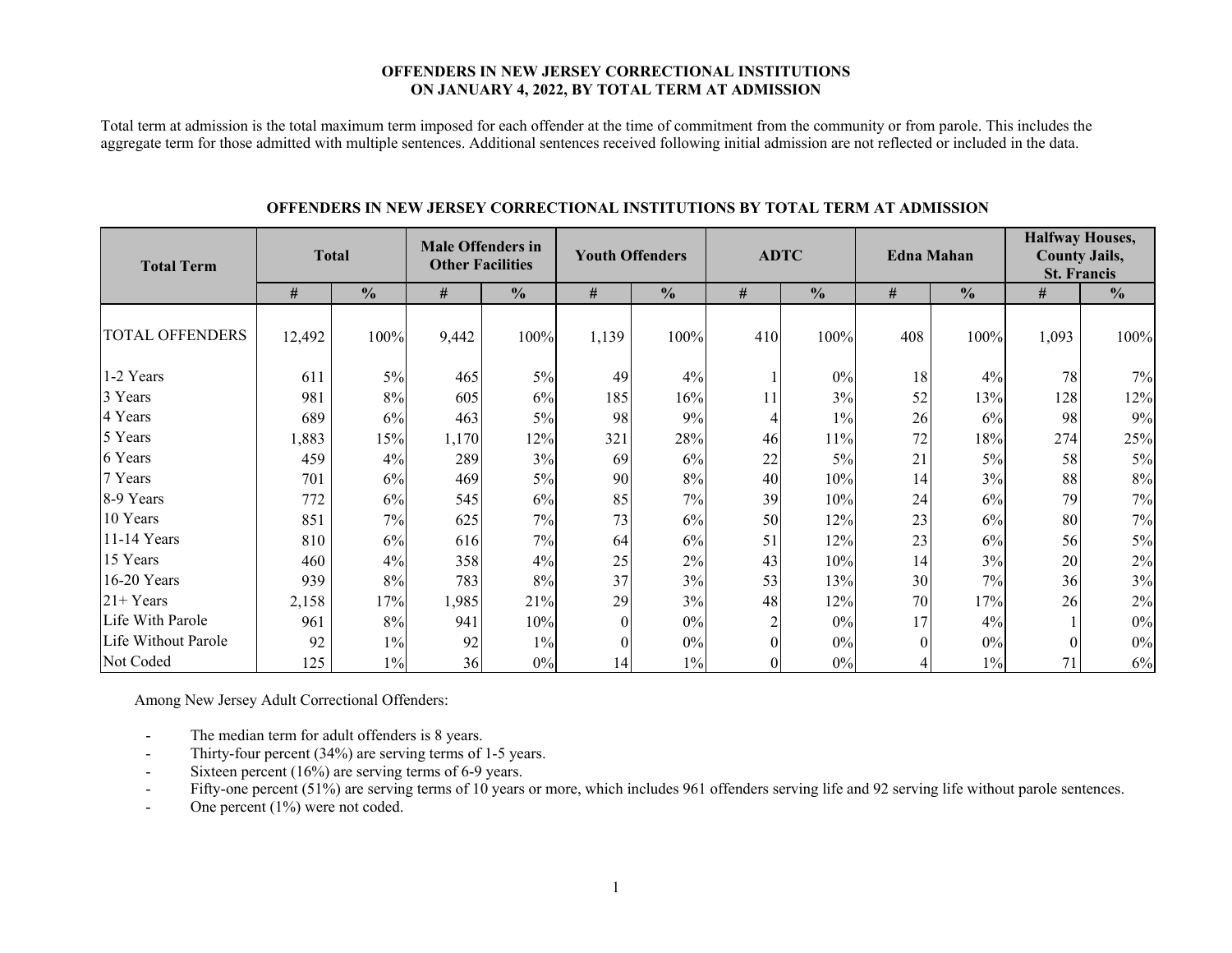#### **OFFENDERS IN NEW JERSEY CORRECTIONAL INSTITUTIONS ON JANUARY 4, 2022, BY TOTAL TERM AT ADMISSION**

Total term at admission is the total maximum term imposed for each offender at the time of commitment from the community or from parole. This includes the aggregate term for those admitted with multiple sentences. Additional sentences received following initial admission are not reflected or included in the data.

| <b>Total Term</b>   | <b>Total</b> |               | <b>Male Offenders in</b><br><b>Other Facilities</b> |               |          | <b>Youth Offenders</b> |     | <b>ADTC</b>   |                | <b>Edna Mahan</b> | <b>Halfway Houses,</b><br><b>County Jails,</b><br><b>St. Francis</b> |               |  |
|---------------------|--------------|---------------|-----------------------------------------------------|---------------|----------|------------------------|-----|---------------|----------------|-------------------|----------------------------------------------------------------------|---------------|--|
|                     | #            | $\frac{0}{0}$ | #                                                   | $\frac{0}{0}$ | #        | $\frac{0}{0}$          | #   | $\frac{0}{0}$ | #              | $\frac{0}{0}$     | #                                                                    | $\frac{6}{6}$ |  |
| TOTAL OFFENDERS     | 12,492       | 100%          | 9,442                                               | 100%          | 1,139    | 100%                   | 410 | 100%          | 408            | 100%              | 1,093                                                                | 100%          |  |
| 1-2 Years           | 611          | $5\%$         | 465                                                 | 5%            | 49       | 4%                     |     | $0\%$         | 18             | 4%                | 78                                                                   | 7%            |  |
| 3 Years             | 981          | $8\%$         | 605                                                 | 6%            | 185      | 16%                    | 11  | 3%            | 52             | 13%               | 128                                                                  | 12%           |  |
| 4 Years             | 689          | 6%            | 463                                                 | 5%            | 98       | 9%                     | 4   | $1\%$         | 26             | 6%                | 98                                                                   | 9%            |  |
| 5 Years             | 1,883        | 15%           | 1,170                                               | 12%           | 321      | 28%                    | 46  | $11\%$        | 72             | 18%               | 274                                                                  | 25%           |  |
| 6 Years             | 459          | 4%            | 289                                                 | 3%            | 69       | 6%                     | 22  | $5\%$         | 21             | 5%                | 58                                                                   | $5\%$         |  |
| 7 Years             | 701          | 6%            | 469                                                 | 5%            | 90       | $8\%$                  | 40  | 10%           | 14             | 3%                | 88                                                                   | $8\%$         |  |
| 8-9 Years           | 772          | 6%            | 545                                                 | 6%            | 85       | 7%                     | 39  | 10%           | 24             | 6%                | 79                                                                   | 7%            |  |
| 10 Years            | 851          | 7%            | 625                                                 | 7%            | 73       | $6\%$                  | 50  | 12%           | 23             | 6%                | 80                                                                   | $7\%$         |  |
| 11-14 Years         | 810          | 6%            | 616                                                 | 7%            | 64       | 6%                     | 51  | 12%           | 23             | 6%                | 56                                                                   | 5%            |  |
| 15 Years            | 460          | 4%            | 358                                                 | 4%            | 25       | $2\%$                  | 43  | 10%           | 14             | 3%                | 20                                                                   | 2%            |  |
| 16-20 Years         | 939          | 8%            | 783                                                 | 8%            | 37       | 3%                     | 53  | 13%           | 30             | 7%                | 36                                                                   | 3%            |  |
| $21+Years$          | 2,158        | 17%           | 1,985                                               | 21%           | 29       | 3%                     | 48  | 12%           | 70             | 17%               | 26                                                                   | $2\%$         |  |
| Life With Parole    | 961          | 8%            | 941                                                 | 10%           | $\theta$ | $0\%$                  |     | $0\%$         | 17             | 4%                |                                                                      | 0%            |  |
| Life Without Parole | 92           | $1\%$         | 92                                                  | $1\%$         | $\theta$ | 0%                     |     | $0\%$         | $\overline{0}$ | $0\%$             |                                                                      | 0%            |  |
| Not Coded           | 125          | $1\%$         | 36                                                  | $0\%$         | 14       | $1\%$                  |     | 0%            |                | $1\%$             | 71                                                                   | $6\%$         |  |

#### **OFFENDERS IN NEW JERSEY CORRECTIONAL INSTITUTIONS BY TOTAL TERM AT ADMISSION**

Among New Jersey Adult Correctional Offenders:

- -The median term for adult offenders is 8 years.
- -Thirty-four percent (34%) are serving terms of 1-5 years.
- Sixteen percent (16%) are serving terms of 6-9 years.
- -Fifty-one percent (51%) are serving terms of 10 years or more, which includes 961 offenders serving life and 92 serving life without parole sentences.
- -One percent (1%) were not coded.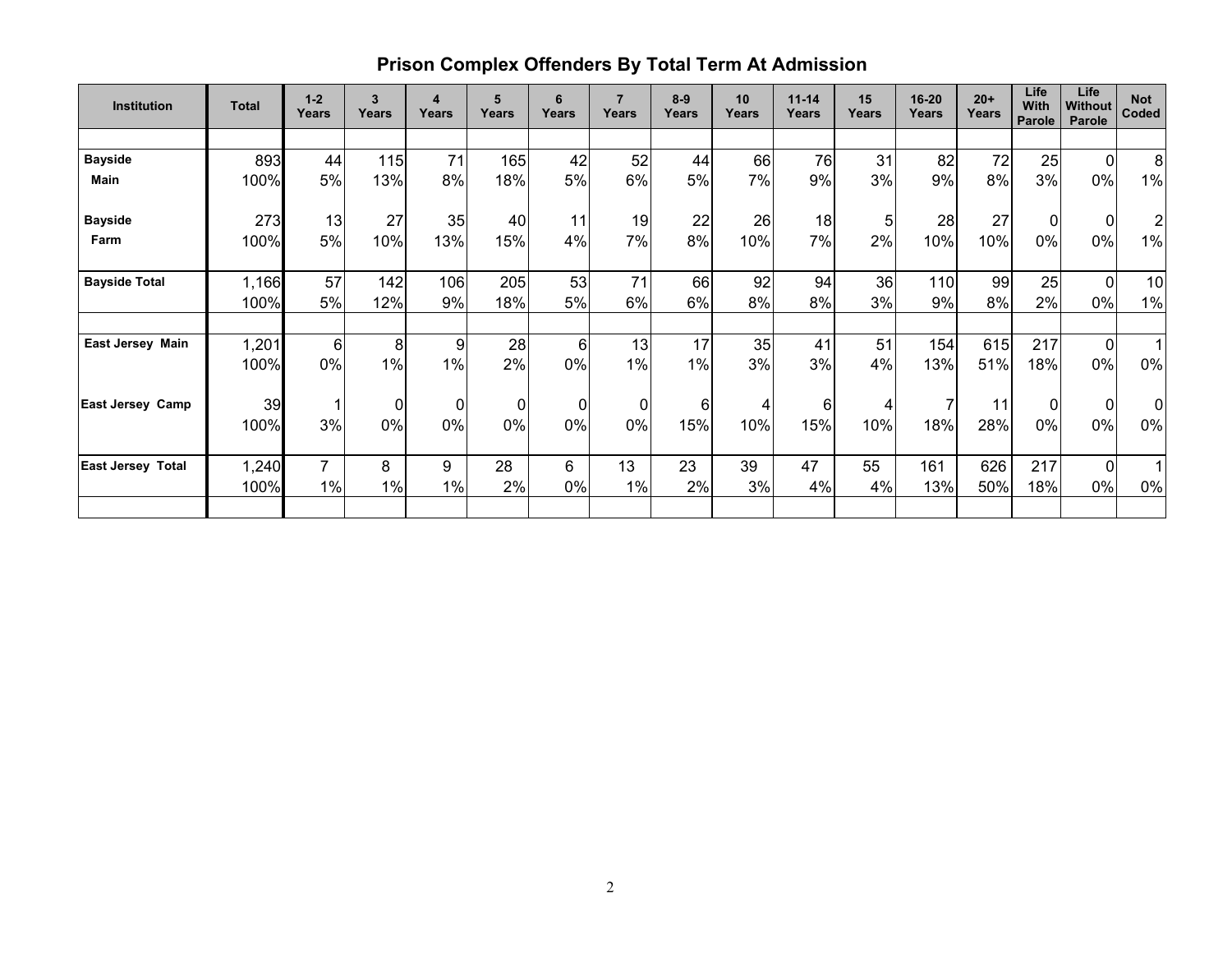| <b>Institution</b>       | <b>Total</b> | $1 - 2$<br>Years | 3<br>Years | 4<br>Years     | 5<br>Years | 6<br>Years | $\overline{7}$<br>Years | $8 - 9$<br>Years | 10<br>Years | $11 - 14$<br>Years | 15<br>Years | 16-20<br>Years | $20+$<br>Years | Life<br><b>With</b><br><b>Parole</b> | Life<br><b>Without</b><br>Parole | <b>Not</b><br>Coded |
|--------------------------|--------------|------------------|------------|----------------|------------|------------|-------------------------|------------------|-------------|--------------------|-------------|----------------|----------------|--------------------------------------|----------------------------------|---------------------|
|                          |              |                  |            |                |            |            |                         |                  |             |                    |             |                |                |                                      |                                  |                     |
| <b>Bayside</b>           | 893          | 44               | 115        | 71             | 165        | 42         | 52                      | 44               | 66          | 76                 | 31          | 82             | 72             | 25                                   | $\Omega$                         | 8                   |
| Main                     | 100%         | 5%               | 13%        | 8%             | 18%        | 5%         | 6%                      | 5%               | 7%          | 9%                 | 3%          | 9%             | 8%             | 3%                                   | 0%                               | 1%                  |
| <b>Bayside</b>           | 273          | 13               | 27         | 35             | 40         | 11         | 19                      | 22               | 26          | 18                 | 5           | 28             | 27             | 0                                    | $\mathbf 0$                      | $\overline{c}$      |
| Farm                     | 100%         | 5%               | 10%        | 13%            | 15%        | 4%         | 7%                      | 8%               | 10%         | 7%                 | 2%          | 10%            | 10%            | 0%                                   | $0\%$                            | 1%                  |
| <b>Bayside Total</b>     | 1,166        | 57               | 142        | 106            | 205        | 53         | 71                      | 66               | 92          | 94                 | 36          | 110            | 99             | 25                                   | $\mathbf 0$                      | 10                  |
|                          | 100%         | 5%               | 12%        | 9%             | 18%        | 5%         | 6%                      | 6%               | 8%          | 8%                 | 3%          | 9%             | 8%             | 2%                                   | 0%                               | $1\%$               |
|                          |              |                  |            |                |            |            |                         |                  |             |                    |             |                |                |                                      |                                  |                     |
| East Jersey Main         | 1,201        | 6                | 8          | 9              | 28         | 6          | 13                      | 17               | 35          | 41                 | 51          | 154            | 615            | 217                                  | $\mathbf 0$                      |                     |
|                          | 100%         | 0%               | $1\%$      | 1%             | 2%         | 0%         | 1%                      | 1%               | 3%          | 3%                 | 4%          | 13%            | 51%            | 18%                                  | 0%                               | 0%                  |
| <b>East Jersey Camp</b>  | 39           |                  | 0          | $\overline{0}$ | 0          | 0          | $\mathbf 0$             | 6                | 4           | 6                  | 4           |                | 11             | $\mathbf{0}$                         | $\mathbf 0$                      | $\Omega$            |
|                          | 100%         | 3%               | 0%         | 0%             | 0%         | 0%         | 0%                      | 15%              | 10%         | 15%                | 10%         | 18%            | 28%            | 0%                                   | 0%                               | $0\%$               |
| <b>East Jersey Total</b> | 1,240        | $\overline{7}$   | 8          | 9              | 28         | 6          | 13                      | 23               | 39          | 47                 | 55          | 161            | 626            | 217                                  | $\Omega$                         |                     |
|                          | 100%         | 1%               | 1%         | 1%             | 2%         | 0%         | 1%                      | 2%               | 3%          | 4%                 | 4%          | 13%            | 50%            | 18%                                  | $0\%$                            | 0%                  |
|                          |              |                  |            |                |            |            |                         |                  |             |                    |             |                |                |                                      |                                  |                     |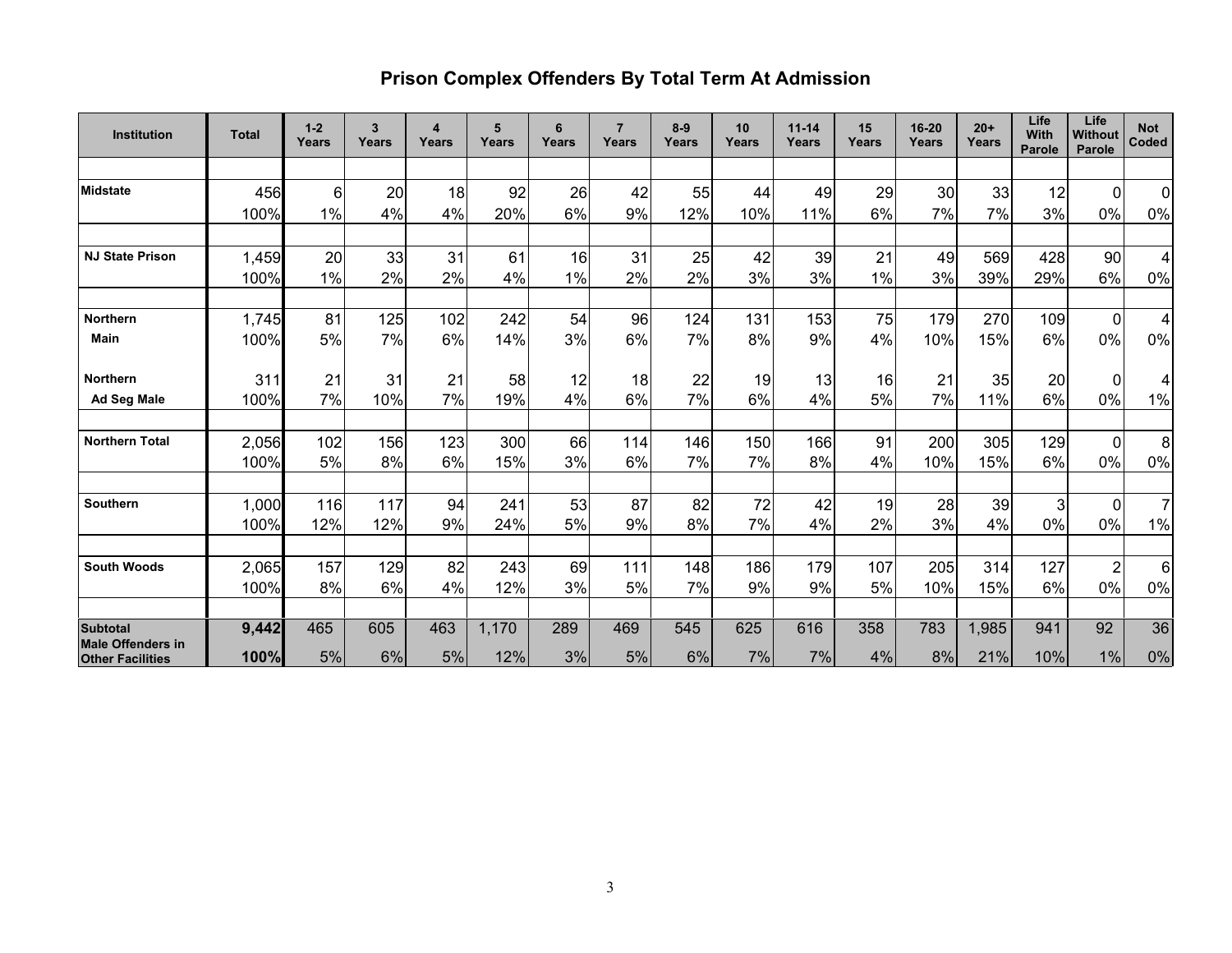# **Prison Complex Offenders By Total Term At Admission**

| Institution                                 | <b>Total</b> | $1 - 2$<br>Years | 3<br>Years | 4<br>Years | 5<br>Years | 6<br>Years | $\overline{7}$<br>Years | $8-9$<br>Years | 10<br>Years | $11 - 14$<br>Years | 15<br>Years | 16-20<br>Years | $20+$<br>Years | Life<br>With<br>Parole | Life<br>Without<br>Parole | <b>Not</b><br>Coded |
|---------------------------------------------|--------------|------------------|------------|------------|------------|------------|-------------------------|----------------|-------------|--------------------|-------------|----------------|----------------|------------------------|---------------------------|---------------------|
|                                             |              |                  |            |            |            |            |                         |                |             |                    |             |                |                |                        |                           |                     |
| Midstate                                    | 456          | $6 \mid$         | 20         | 18         | 92         | 26         | 42                      | 55             | 44          | 49                 | 29          | 30             | 33             | 12                     | $\overline{0}$            | $\mathbf 0$         |
|                                             | 100%         | 1%               | 4%         | 4%         | 20%        | 6%         | 9%                      | 12%            | 10%         | 11%                | 6%          | 7%             | 7%             | 3%                     | 0%                        | $0\%$               |
|                                             |              |                  |            |            |            |            |                         |                |             |                    |             |                |                |                        |                           |                     |
| <b>NJ State Prison</b>                      | 1,459        | 20               | 33         | 31         | 61         | 16         | 31                      | 25             | 42          | 39                 | 21          | 49             | 569            | 428                    | 90                        | 4                   |
|                                             | 100%         | 1%               | 2%         | 2%         | 4%         | 1%         | 2%                      | 2%             | 3%          | 3%                 | 1%          | 3%             | 39%            | 29%                    | 6%                        | $0\%$               |
|                                             |              |                  |            |            |            |            |                         |                |             |                    |             |                |                |                        |                           |                     |
| <b>Northern</b>                             | 1,745        | 81               | 125        | 102        | 242        | 54         | 96                      | 124            | 131         | 153                | 75          | 179            | 270            | 109                    | $\overline{0}$            | 4                   |
| <b>Main</b>                                 | 100%         | 5%               | 7%         | 6%         | 14%        | 3%         | 6%                      | 7%             | 8%          | 9%                 | 4%          | 10%            | 15%            | 6%                     | 0%                        | $0\%$               |
|                                             |              |                  |            |            |            |            |                         |                |             |                    |             |                |                |                        |                           |                     |
| <b>Northern</b>                             | 311          | 21               | 31         | 21         | 58         | 12         | 18                      | 22             | 19          | 13                 | 16          | 21             | 35             | 20                     | $\Omega$                  | 4                   |
| <b>Ad Seg Male</b>                          | 100%         | 7%               | 10%        | 7%         | 19%        | 4%         | 6%                      | 7%             | 6%          | 4%                 | 5%          | 7%             | 11%            | 6%                     | 0%                        | 1%                  |
|                                             |              |                  |            |            |            |            |                         |                |             |                    |             |                |                |                        |                           |                     |
| <b>Northern Total</b>                       | 2,056        | 102              | 156        | 123        | 300        | 66         | 114                     | 146            | 150         | 166                | 91          | 200            | 305            | 129                    | $\overline{0}$            | 8                   |
|                                             | 100%         | 5%               | 8%         | 6%         | 15%        | 3%         | 6%                      | 7%             | 7%          | 8%                 | 4%          | 10%            | 15%            | 6%                     | 0%                        | $0\%$               |
|                                             |              |                  |            |            |            |            |                         |                |             |                    |             |                |                |                        |                           |                     |
| Southern                                    | 1,000        | 116              | 117        | 94         | 241        | 53         | 87                      | 82             | 72          | 42                 | 19          | 28             | 39             | 3                      | $\Omega$                  | $\overline{7}$      |
|                                             | 100%         | 12%              | 12%        | 9%         | 24%        | 5%         | 9%                      | 8%             | 7%          | 4%                 | 2%          | 3%             | 4%             | 0%                     | 0%                        | $1\%$               |
|                                             |              |                  |            |            |            |            |                         |                |             |                    |             |                |                |                        |                           |                     |
| <b>South Woods</b>                          | 2,065        | 157              | 129        | 82         | 243        | 69         | 111                     | 148            | 186         | 179                | 107         | 205            | 314            | 127                    | $\overline{2}$            | 6                   |
|                                             | 100%         | 8%               | 6%         | 4%         | 12%        | 3%         | 5%                      | 7%             | 9%          | 9%                 | 5%          | 10%            | 15%            | 6%                     | 0%                        | 0%                  |
|                                             |              |                  |            |            |            |            |                         |                |             |                    |             |                |                |                        |                           |                     |
| <b>Subtotal</b><br><b>Male Offenders in</b> | 9,442        | 465              | 605        | 463        | 1,170      | 289        | 469                     | 545            | 625         | 616                | 358         | 783            | 1,985          | 941                    | 92                        | 36                  |
| <b>Other Facilities</b>                     | 100%         | 5%               | 6%         | $5%$       | 12%        | 3%         | $5%$                    | 6%             | 7%          | 7%                 | 4%          | 8%             | 21%            | 10%                    | 1%                        | 0%                  |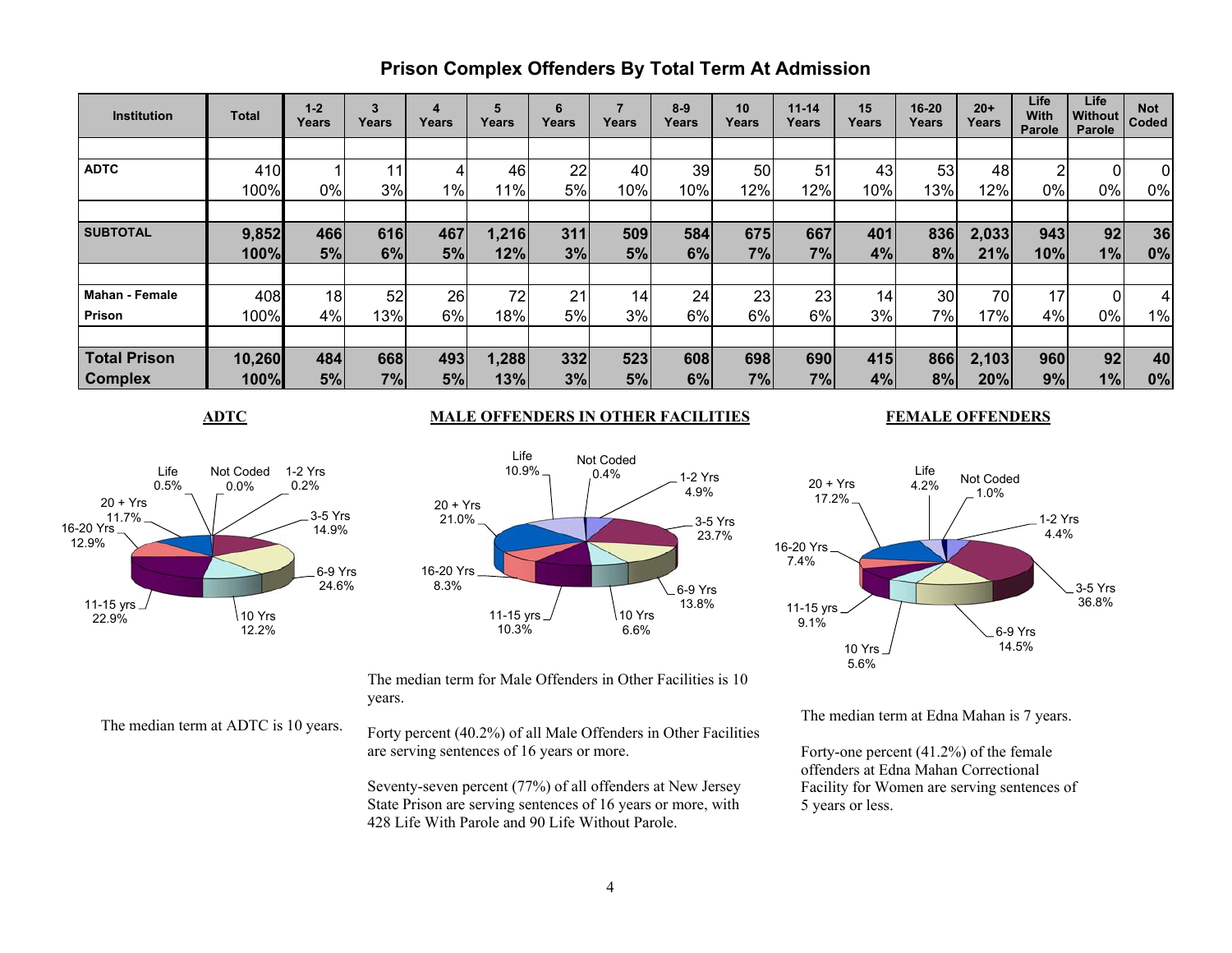## **Prison Complex Offenders By Total Term At Admission**

| <b>Institution</b>    | Total  | $1 - 2$<br>Years | 3<br>Years | 4<br>Years | 5<br>Years | 6<br>Years | Years | $8 - 9$<br>Years | 10<br>Years | $11 - 14$<br>Years | 15<br>Years | 16-20<br>Years | $20+$<br>Years | Life<br>With<br>Parole | <b>Life</b><br>Without<br><b>Parole</b> | <b>Not</b><br>Coded |
|-----------------------|--------|------------------|------------|------------|------------|------------|-------|------------------|-------------|--------------------|-------------|----------------|----------------|------------------------|-----------------------------------------|---------------------|
|                       |        |                  |            |            |            |            |       |                  |             |                    |             |                |                |                        |                                         |                     |
| <b>ADTC</b>           | 410    |                  | 11         |            | 46         | 22         | 40    | 39               | 50          | 51                 | 43          | 53             | 48             | 2                      |                                         | 0                   |
|                       | 100%   | 0%               | 3%         | $1\%$      | 11%        | 5%         | 10%   | 10%              | 12%         | 12%                | 10%         | 13%            | 12%            | 0%                     | 0%                                      | 0%                  |
|                       |        |                  |            |            |            |            |       |                  |             |                    |             |                |                |                        |                                         |                     |
| <b>SUBTOTAL</b>       | 9,852  | 466              | 616        | 467        | 1,216      | 311        | 509   | 584              | 675         | 667                | 401         | 836            | 2,033          | 943                    | 92                                      | 36                  |
|                       | 100%   | 5%               | 6%         | 5%         | 12%        | 3%         | 5%    | 6%               | 7%          | 7%                 | 4%          | 8%             | 21%            | 10%                    | 1%                                      | 0%                  |
|                       |        |                  |            |            |            |            |       |                  |             |                    |             |                |                |                        |                                         |                     |
| <b>Mahan - Female</b> | 408    | 18 <sub>1</sub>  | 52         | 26         | 72         | 21         | 14    | 24               | 23          | 23                 | 14          | 30             | 70             | 17                     |                                         |                     |
| Prison                | 100%   | 4%               | 13%        | 6%         | 18%        | 5%         | 3%    | 6%               | 6%          | 6%                 | 3%          | $7\%$          | 17%            | 4%                     | 0%                                      | 1%                  |
|                       |        |                  |            |            |            |            |       |                  |             |                    |             |                |                |                        |                                         |                     |
| <b>Total Prison</b>   | 10,260 | 484              | 668        | 493        | 1,288      | 332        | 523   | 608              | 698         | 690                | 415         | 866            | 2,103          | 960                    | 92                                      | 40                  |
| <b>Complex</b>        | 100%   | 5%               | 7%         | 5%         | 13%        | 3%         | 5%    | 6%               | 7%          | 7%                 | 4%          | 8%             | 20%            | 9%                     | 1%                                      | 0%                  |

#### Not Coded 1-2 Yrs 0.2%3-5 Yrs 14.9%6-9 Yrs 24.6%10 Yrs 12.2%11-15 yrs 22.9%16-20 Yrs 12.9%20 + Yrs11.7%Life 0.5%0.0%

## **ADTC MALE OFFENDERS IN OTHER FACILITIES**



The median term for Male Offenders in Other Facilities is 10 years.

The median term at ADTC is 10 years.

Forty percent (40.2%) of all Male Offenders in Other Facilities are serving sentences of 16 years or more.

Seventy-seven percent (77%) of all offenders at New Jersey State Prison are serving sentences of 16 years or more, with 428 Life With Parole and 90 Life Without Parole.

#### **FEMALE OFFENDERS**



The median term at Edna Mahan is 7 years.

Forty-one percent (41.2%) of the female offenders at Edna Mahan Correctional Facility for Women are serving sentences of 5 years or less.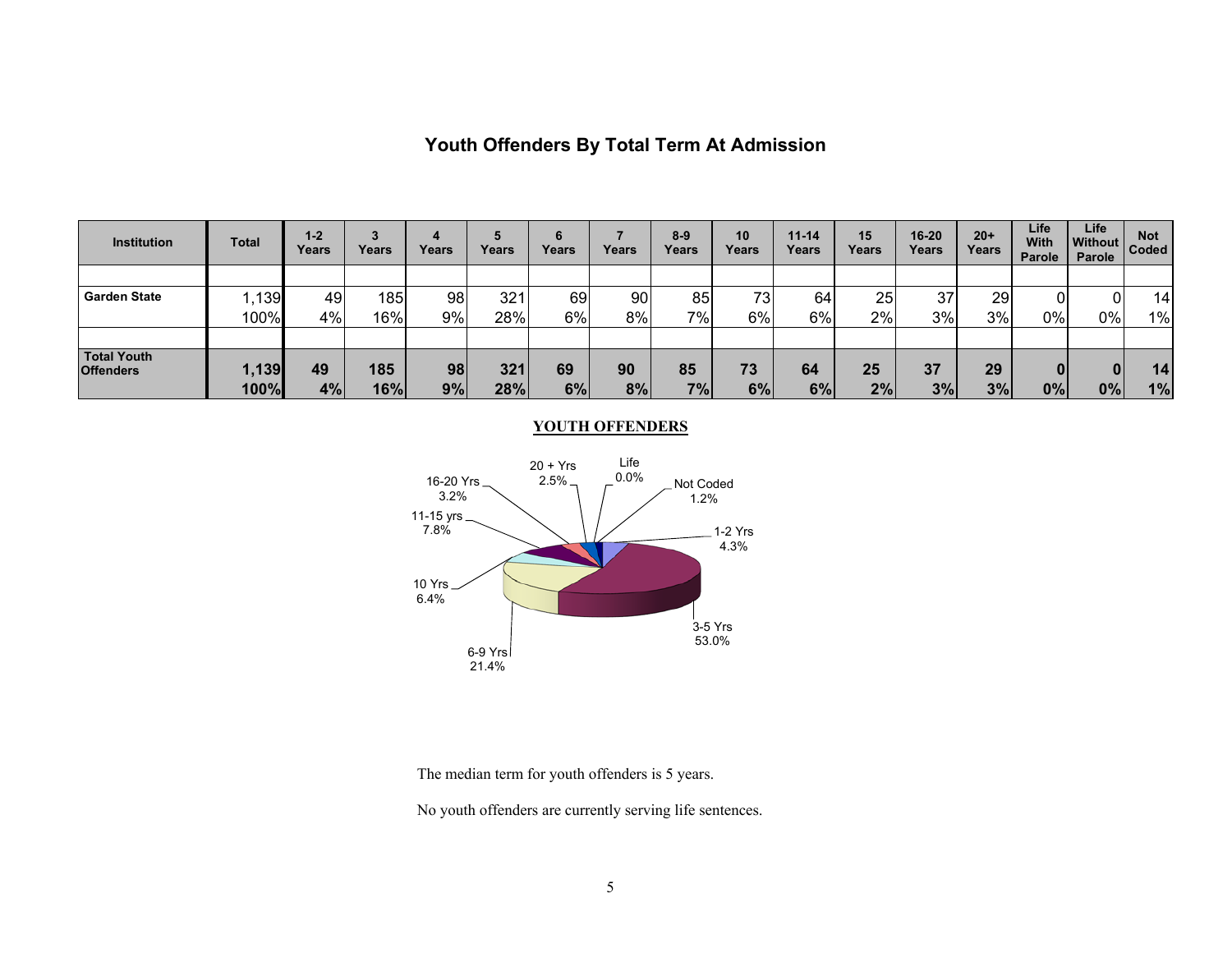| <b>Institution</b>              | Total         | $1-2$<br>Years | 3<br>Years | 4<br>Years | Years      | Years    | Years    | $8 - 9$<br>Years | 10<br>Years | $11 - 14$<br>Years | 15<br>Years | 16-20<br>Years | $20+$<br>Years | Life<br><b>With</b><br>Parole | Life<br><b>Without</b><br>Parole | <b>Not</b><br>Coded |
|---------------------------------|---------------|----------------|------------|------------|------------|----------|----------|------------------|-------------|--------------------|-------------|----------------|----------------|-------------------------------|----------------------------------|---------------------|
|                                 |               |                |            |            |            |          |          |                  |             |                    |             |                |                |                               |                                  |                     |
| <b>Garden State</b>             | ,139          | 49             | 185        | 98         | 321        | 69       | 90       | 85               | 73          | 64                 | 25          | 37             | 29             |                               | ות                               | 14                  |
|                                 | 100%          | 4%             | 16%        | 9%         | 28%        | 6%       | 8%       | 7%               | 6%          | 6%                 | 2%          | 3%             | 3%             | $0\%$                         | 0%                               | $1\%$               |
| Total Youth<br><b>Offenders</b> | 1,139<br>100% | 49<br>4%       | 185<br>16% | 98<br>9%   | 321<br>28% | 69<br>6% | 90<br>8% | 85<br>7%         | 73<br>6%    | 64<br>6%           | 25<br>2%    | 37<br>3%       | 29<br>3%       | 01<br>$ 0\% $                 | 0%                               | 14<br>1%            |

## **Youth Offenders By Total Term At Admission**

#### **YOUTH OFFENDERS**



The median term for youth offenders is 5 years.

No youth offenders are currently serving life sentences.